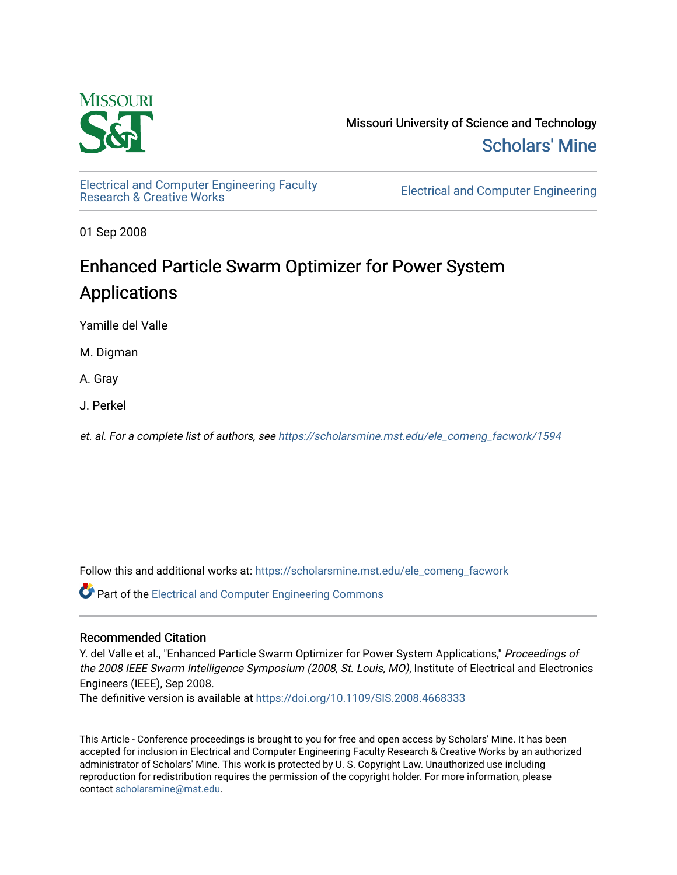

Missouri University of Science and Technology [Scholars' Mine](https://scholarsmine.mst.edu/) 

[Electrical and Computer Engineering Faculty](https://scholarsmine.mst.edu/ele_comeng_facwork)

**Electrical and Computer Engineering** 

01 Sep 2008

## Enhanced Particle Swarm Optimizer for Power System Applications

Yamille del Valle

M. Digman

A. Gray

J. Perkel

et. al. For a complete list of authors, see [https://scholarsmine.mst.edu/ele\\_comeng\\_facwork/1594](https://scholarsmine.mst.edu/ele_comeng_facwork/1594) 

Follow this and additional works at: [https://scholarsmine.mst.edu/ele\\_comeng\\_facwork](https://scholarsmine.mst.edu/ele_comeng_facwork?utm_source=scholarsmine.mst.edu%2Fele_comeng_facwork%2F1594&utm_medium=PDF&utm_campaign=PDFCoverPages)

**C** Part of the Electrical and Computer Engineering Commons

### Recommended Citation

Y. del Valle et al., "Enhanced Particle Swarm Optimizer for Power System Applications," Proceedings of the 2008 IEEE Swarm Intelligence Symposium (2008, St. Louis, MO), Institute of Electrical and Electronics Engineers (IEEE), Sep 2008.

The definitive version is available at <https://doi.org/10.1109/SIS.2008.4668333>

This Article - Conference proceedings is brought to you for free and open access by Scholars' Mine. It has been accepted for inclusion in Electrical and Computer Engineering Faculty Research & Creative Works by an authorized administrator of Scholars' Mine. This work is protected by U. S. Copyright Law. Unauthorized use including reproduction for redistribution requires the permission of the copyright holder. For more information, please contact [scholarsmine@mst.edu](mailto:scholarsmine@mst.edu).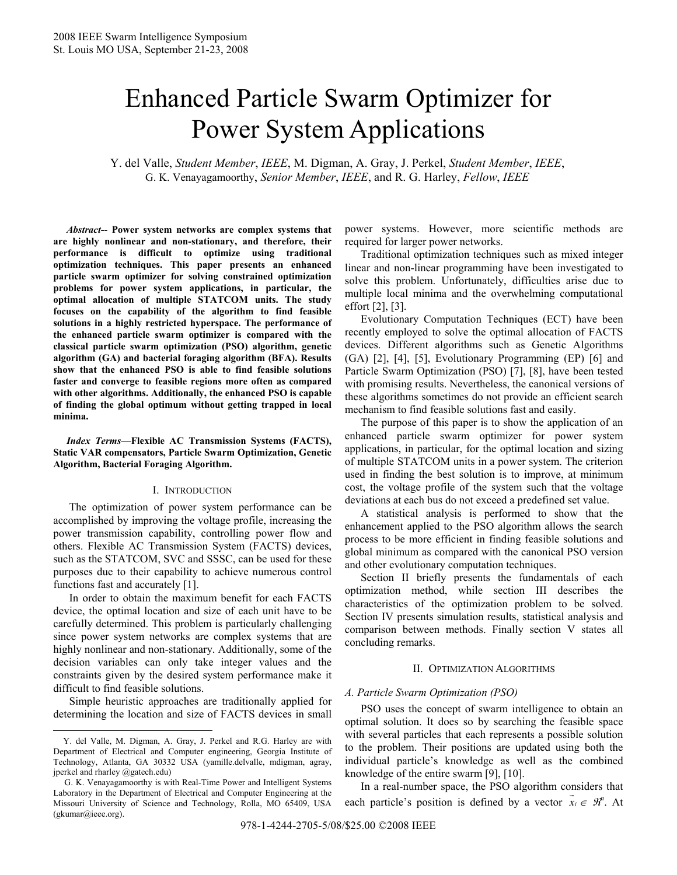# Enhanced Particle Swarm Optimizer for Power System Applications

Y. del Valle, *Student Member*, *IEEE*, M. Digman, A. Gray, J. Perkel, *Student Member*, *IEEE*, G. K. Venayagamoorthy, *Senior Member*, *IEEE*, and R. G. Harley, *Fellow*, *IEEE*

*Abstract***-- Power system networks are complex systems that are highly nonlinear and non-stationary, and therefore, their performance is difficult to optimize using traditional optimization techniques. This paper presents an enhanced particle swarm optimizer for solving constrained optimization problems for power system applications, in particular, the optimal allocation of multiple STATCOM units. The study focuses on the capability of the algorithm to find feasible solutions in a highly restricted hyperspace. The performance of the enhanced particle swarm optimizer is compared with the classical particle swarm optimization (PSO) algorithm, genetic algorithm (GA) and bacterial foraging algorithm (BFA). Results show that the enhanced PSO is able to find feasible solutions faster and converge to feasible regions more often as compared with other algorithms. Additionally, the enhanced PSO is capable of finding the global optimum without getting trapped in local minima.** 

*Index Terms***—Flexible AC Transmission Systems (FACTS), Static VAR compensators, Particle Swarm Optimization, Genetic Algorithm, Bacterial Foraging Algorithm.** 

#### I. INTRODUCTION

The optimization of power system performance can be accomplished by improving the voltage profile, increasing the power transmission capability, controlling power flow and others. Flexible AC Transmission System (FACTS) devices, such as the STATCOM, SVC and SSSC, can be used for these purposes due to their capability to achieve numerous control functions fast and accurately [1].

In order to obtain the maximum benefit for each FACTS device, the optimal location and size of each unit have to be carefully determined. This problem is particularly challenging since power system networks are complex systems that are highly nonlinear and non-stationary. Additionally, some of the decision variables can only take integer values and the constraints given by the desired system performance make it difficult to find feasible solutions.

Simple heuristic approaches are traditionally applied for determining the location and size of FACTS devices in small

1

power systems. However, more scientific methods are required for larger power networks.

Traditional optimization techniques such as mixed integer linear and non-linear programming have been investigated to solve this problem. Unfortunately, difficulties arise due to multiple local minima and the overwhelming computational effort [2], [3].

Evolutionary Computation Techniques (ECT) have been recently employed to solve the optimal allocation of FACTS devices. Different algorithms such as Genetic Algorithms (GA) [2], [4], [5], Evolutionary Programming (EP) [6] and Particle Swarm Optimization (PSO) [7], [8], have been tested with promising results. Nevertheless, the canonical versions of these algorithms sometimes do not provide an efficient search mechanism to find feasible solutions fast and easily.

The purpose of this paper is to show the application of an enhanced particle swarm optimizer for power system applications, in particular, for the optimal location and sizing of multiple STATCOM units in a power system. The criterion used in finding the best solution is to improve, at minimum cost, the voltage profile of the system such that the voltage deviations at each bus do not exceed a predefined set value.

A statistical analysis is performed to show that the enhancement applied to the PSO algorithm allows the search process to be more efficient in finding feasible solutions and global minimum as compared with the canonical PSO version and other evolutionary computation techniques.

Section II briefly presents the fundamentals of each optimization method, while section III describes the characteristics of the optimization problem to be solved. Section IV presents simulation results, statistical analysis and comparison between methods. Finally section V states all concluding remarks.

#### II. OPTIMIZATION ALGORITHMS

#### *A. Particle Swarm Optimization (PSO)*

PSO uses the concept of swarm intelligence to obtain an optimal solution. It does so by searching the feasible space with several particles that each represents a possible solution to the problem. Their positions are updated using both the individual particle's knowledge as well as the combined knowledge of the entire swarm [9], [10].

In a real-number space, the PSO algorithm considers that each particle's position is defined by a vector  $\vec{x}_i \in \mathcal{H}^n$ . At

Y. del Valle, M. Digman, A. Gray, J. Perkel and R.G. Harley are with Department of Electrical and Computer engineering, Georgia Institute of Technology, Atlanta, GA 30332 USA (yamille.delvalle, mdigman, agray, jperkel and rharley @gatech.edu)

G. K. Venayagamoorthy is with Real-Time Power and Intelligent Systems Laboratory in the Department of Electrical and Computer Engineering at the Missouri University of Science and Technology, Rolla, MO 65409, USA (gkumar@ieee.org).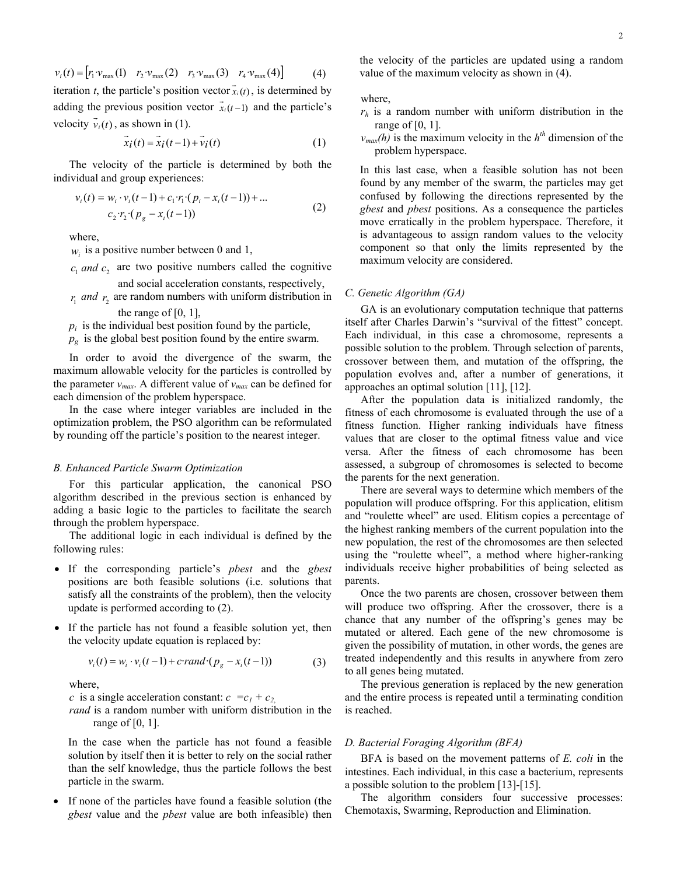$v_i(t) = [r_1 \cdot v_{\text{max}}(1) \quad r_2 \cdot v_{\text{max}}(2) \quad r_3 \cdot v_{\text{max}}(3) \quad r_4 \cdot v_{\text{max}}(4)]$  (4)

iteration *t*, the particle's position vector  $\vec{x}_i(t)$ , is determined by adding the previous position vector  $\vec{x}_i(t-1)$  and the particle's velocity  $\vec{v}_i(t)$ , as shown in (1).

$$
\vec{x}_i(t) = \vec{x}_i(t-1) + \vec{v}_i(t)
$$
\n(1)

The velocity of the particle is determined by both the individual and group experiences:

$$
v_i(t) = w_i \cdot v_i(t-1) + c_1 \cdot r_i \cdot (p_i - x_i(t-1)) + \dots
$$
  
\n
$$
c_2 \cdot r_2 \cdot (p_g - x_i(t-1))
$$
\n(2)

where,

 $w_i$  is a positive number between 0 and 1,

 $c_1$  *and c*, are two positive numbers called the cognitive

and social acceleration constants, respectively,

 $r_1$  *and*  $r_2$  are random numbers with uniform distribution in the range of  $[0, 1]$ ,

 $p_i$  is the individual best position found by the particle,

 $p_g$  is the global best position found by the entire swarm.

In order to avoid the divergence of the swarm, the maximum allowable velocity for the particles is controlled by the parameter  $v_{max}$ . A different value of  $v_{max}$  can be defined for each dimension of the problem hyperspace.

In the case where integer variables are included in the optimization problem, the PSO algorithm can be reformulated by rounding off the particle's position to the nearest integer.

#### *B. Enhanced Particle Swarm Optimization*

For this particular application, the canonical PSO algorithm described in the previous section is enhanced by adding a basic logic to the particles to facilitate the search through the problem hyperspace.

The additional logic in each individual is defined by the following rules:

- If the corresponding particle's *pbest* and the *gbest* positions are both feasible solutions (i.e. solutions that satisfy all the constraints of the problem), then the velocity update is performed according to (2).
- If the particle has not found a feasible solution yet, then the velocity update equation is replaced by:

$$
v_i(t) = w_i \cdot v_i(t-1) + c\cdot rand \cdot (p_g - x_i(t-1))
$$
 (3)

where,

*c* is a single acceleration constant:  $c =c_1 + c_2$ ,

*rand* is a random number with uniform distribution in the range of  $[0, 1]$ .

In the case when the particle has not found a feasible solution by itself then it is better to rely on the social rather than the self knowledge, thus the particle follows the best particle in the swarm.

If none of the particles have found a feasible solution (the *gbest* value and the *pbest* value are both infeasible) then

the velocity of the particles are updated using a random value of the maximum velocity as shown in (4).

where,

- $r<sub>h</sub>$  is a random number with uniform distribution in the range of  $[0, 1]$ .
- $v_{max}(h)$  is the maximum velocity in the  $h^{th}$  dimension of the problem hyperspace.

In this last case, when a feasible solution has not been found by any member of the swarm, the particles may get confused by following the directions represented by the *gbest* and *pbest* positions. As a consequence the particles move erratically in the problem hyperspace. Therefore, it is advantageous to assign random values to the velocity component so that only the limits represented by the maximum velocity are considered.

#### *C. Genetic Algorithm (GA)*

GA is an evolutionary computation technique that patterns itself after Charles Darwin's "survival of the fittest" concept. Each individual, in this case a chromosome, represents a possible solution to the problem. Through selection of parents, crossover between them, and mutation of the offspring, the population evolves and, after a number of generations, it approaches an optimal solution [11], [12].

After the population data is initialized randomly, the fitness of each chromosome is evaluated through the use of a fitness function. Higher ranking individuals have fitness values that are closer to the optimal fitness value and vice versa. After the fitness of each chromosome has been assessed, a subgroup of chromosomes is selected to become the parents for the next generation.

There are several ways to determine which members of the population will produce offspring. For this application, elitism and "roulette wheel" are used. Elitism copies a percentage of the highest ranking members of the current population into the new population, the rest of the chromosomes are then selected using the "roulette wheel", a method where higher-ranking individuals receive higher probabilities of being selected as parents.

Once the two parents are chosen, crossover between them will produce two offspring. After the crossover, there is a chance that any number of the offspring's genes may be mutated or altered. Each gene of the new chromosome is given the possibility of mutation, in other words, the genes are treated independently and this results in anywhere from zero to all genes being mutated.

The previous generation is replaced by the new generation and the entire process is repeated until a terminating condition is reached.

#### *D. Bacterial Foraging Algorithm (BFA)*

BFA is based on the movement patterns of *E. coli* in the intestines. Each individual, in this case a bacterium, represents a possible solution to the problem [13]-[15].

The algorithm considers four successive processes: Chemotaxis, Swarming, Reproduction and Elimination.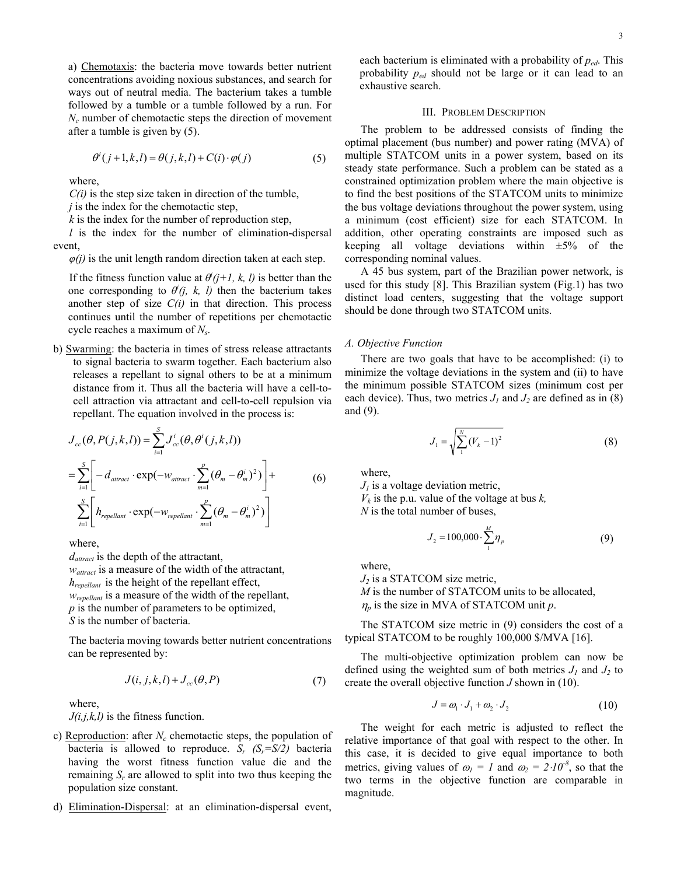a) Chemotaxis: the bacteria move towards better nutrient concentrations avoiding noxious substances, and search for ways out of neutral media. The bacterium takes a tumble followed by a tumble or a tumble followed by a run. For *Nc* number of chemotactic steps the direction of movement after a tumble is given by (5).

$$
\theta^{i}(j+1,k,l) = \theta(j,k,l) + C(i) \cdot \varphi(j)
$$
\n(5)

where,

*C(i)* is the step size taken in direction of the tumble,

*j* is the index for the chemotactic step,

*k* is the index for the number of reproduction step,

*l* is the index for the number of elimination-dispersal event,

*φ(j)* is the unit length random direction taken at each step.

If the fitness function value at  $\theta^{i}(j+1, k, l)$  is better than the one corresponding to  $\theta^i$  (*j, k, l)* then the bacterium takes another step of size *C(i)* in that direction. This process continues until the number of repetitions per chemotactic cycle reaches a maximum of *Ns*.

b) Swarming: the bacteria in times of stress release attractants to signal bacteria to swarm together. Each bacterium also releases a repellant to signal others to be at a minimum distance from it. Thus all the bacteria will have a cell-tocell attraction via attractant and cell-to-cell repulsion via repellant. The equation involved in the process is:

$$
J_{cc}(\theta, P(j,k,l)) = \sum_{i=1}^{S} J_{cc}^{i}(\theta, \theta^{i}(j,k,l))
$$
  
= 
$$
\sum_{i=1}^{S} \left[ -d_{attract} \cdot \exp(-w_{attract} \cdot \sum_{m=1}^{P} (\theta_{m} - \theta_{m}^{i})^{2}) \right] +
$$
  

$$
\sum_{i=1}^{S} \left[ h_{repeliant} \cdot \exp(-w_{repellant} \cdot \sum_{m=1}^{P} (\theta_{m} - \theta_{m}^{i})^{2}) \right]
$$
 (6)

where,

*dattract* is the depth of the attractant, *wattract* is a measure of the width of the attractant, *hrepellant* is the height of the repellant effect, *wrepellant* is a measure of the width of the repellant, *p* is the number of parameters to be optimized, *S* is the number of bacteria.

The bacteria moving towards better nutrient concentrations can be represented by:

$$
J(i, j, k, l) + J_{cc}(\theta, P) \tag{7}
$$

where,

*J(i,j,k,l)* is the fitness function.

- c) Reproduction: after  $N_c$  chemotactic steps, the population of bacteria is allowed to reproduce.  $S_r$   $(S_r = S/2)$  bacteria having the worst fitness function value die and the remaining *Sr* are allowed to split into two thus keeping the population size constant.
- d) Elimination-Dispersal: at an elimination-dispersal event,

each bacterium is eliminated with a probability of *ped*. This probability *ped* should not be large or it can lead to an exhaustive search.

#### III. PROBLEM DESCRIPTION

The problem to be addressed consists of finding the optimal placement (bus number) and power rating (MVA) of multiple STATCOM units in a power system, based on its steady state performance. Such a problem can be stated as a constrained optimization problem where the main objective is to find the best positions of the STATCOM units to minimize the bus voltage deviations throughout the power system, using a minimum (cost efficient) size for each STATCOM. In addition, other operating constraints are imposed such as keeping all voltage deviations within  $\pm 5\%$  of the corresponding nominal values.

A 45 bus system, part of the Brazilian power network, is used for this study [8]. This Brazilian system (Fig.1) has two distinct load centers, suggesting that the voltage support should be done through two STATCOM units.

#### *A. Objective Function*

There are two goals that have to be accomplished: (i) to minimize the voltage deviations in the system and (ii) to have the minimum possible STATCOM sizes (minimum cost per each device). Thus, two metrics  $J_1$  and  $J_2$  are defined as in (8) and (9).

$$
J_1 = \sqrt{\sum_{1}^{N} (V_k - 1)^2}
$$
 (8)

where,

 $J<sub>l</sub>$  is a voltage deviation metric,  $V_k$  is the p.u. value of the voltage at bus  $k$ , *N* is the total number of buses,

$$
J_2 = 100,000 \cdot \sum_{1}^{M} \eta_p \tag{9}
$$

where,

*J2* is a STATCOM size metric, *M* is the number of STATCOM units to be allocated,  $\eta_p$  is the size in MVA of STATCOM unit *p*.

The STATCOM size metric in (9) considers the cost of a typical STATCOM to be roughly 100,000 \$/MVA [16].

The multi-objective optimization problem can now be defined using the weighted sum of both metrics  $J_1$  and  $J_2$  to create the overall objective function *J* shown in (10).

$$
J = \omega_1 \cdot J_1 + \omega_2 \cdot J_2 \tag{10}
$$

The weight for each metric is adjusted to reflect the relative importance of that goal with respect to the other. In this case, it is decided to give equal importance to both metrics, giving values of  $\omega_l = I$  and  $\omega_2 = 2 \cdot l \theta^2$ , so that the two terms in the objective function are comparable in magnitude.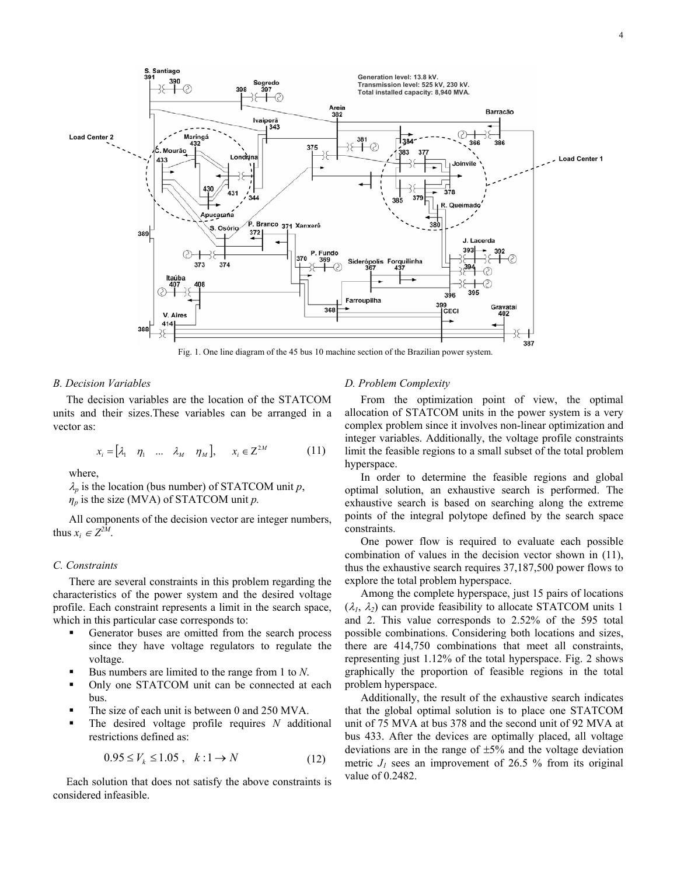

Fig. 1. One line diagram of the 45 bus 10 machine section of the Brazilian power system.

#### *B. Decision Variables*

The decision variables are the location of the STATCOM units and their sizes.These variables can be arranged in a vector as:

$$
x_i = \begin{bmatrix} \lambda_1 & \eta_1 & \dots & \lambda_M & \eta_M \end{bmatrix}, \qquad x_i \in \mathbb{Z}^{2M} \tag{11}
$$

where,

 $\lambda_p$  is the location (bus number) of STATCOM unit *p*,

*η<sup>p</sup>* is the size (MVA) of STATCOM unit *p.*

All components of the decision vector are integer numbers, thus  $x_i \in Z^{2M}$ .

#### *C. Constraints*

There are several constraints in this problem regarding the characteristics of the power system and the desired voltage profile. Each constraint represents a limit in the search space, which in this particular case corresponds to:

- Generator buses are omitted from the search process since they have voltage regulators to regulate the voltage.
- Bus numbers are limited to the range from 1 to *N*.
- Only one STATCOM unit can be connected at each bus.
- The size of each unit is between 0 and 250 MVA.
- The desired voltage profile requires *N* additional restrictions defined as:

$$
0.95 \le V_k \le 1.05 \ , \ k:1 \to N \tag{12}
$$

Each solution that does not satisfy the above constraints is considered infeasible.

#### *D. Problem Complexity*

From the optimization point of view, the optimal allocation of STATCOM units in the power system is a very complex problem since it involves non-linear optimization and integer variables. Additionally, the voltage profile constraints limit the feasible regions to a small subset of the total problem hyperspace.

In order to determine the feasible regions and global optimal solution, an exhaustive search is performed. The exhaustive search is based on searching along the extreme points of the integral polytope defined by the search space constraints.

One power flow is required to evaluate each possible combination of values in the decision vector shown in (11), thus the exhaustive search requires 37,187,500 power flows to explore the total problem hyperspace.

Among the complete hyperspace, just 15 pairs of locations  $(\lambda_1, \lambda_2)$  can provide feasibility to allocate STATCOM units 1 and 2. This value corresponds to 2.52% of the 595 total possible combinations. Considering both locations and sizes, there are 414,750 combinations that meet all constraints, representing just 1.12% of the total hyperspace. Fig. 2 shows graphically the proportion of feasible regions in the total problem hyperspace.

Additionally, the result of the exhaustive search indicates that the global optimal solution is to place one STATCOM unit of 75 MVA at bus 378 and the second unit of 92 MVA at bus 433. After the devices are optimally placed, all voltage deviations are in the range of  $\pm 5\%$  and the voltage deviation metric  $J_1$  sees an improvement of 26.5 % from its original value of 0.2482.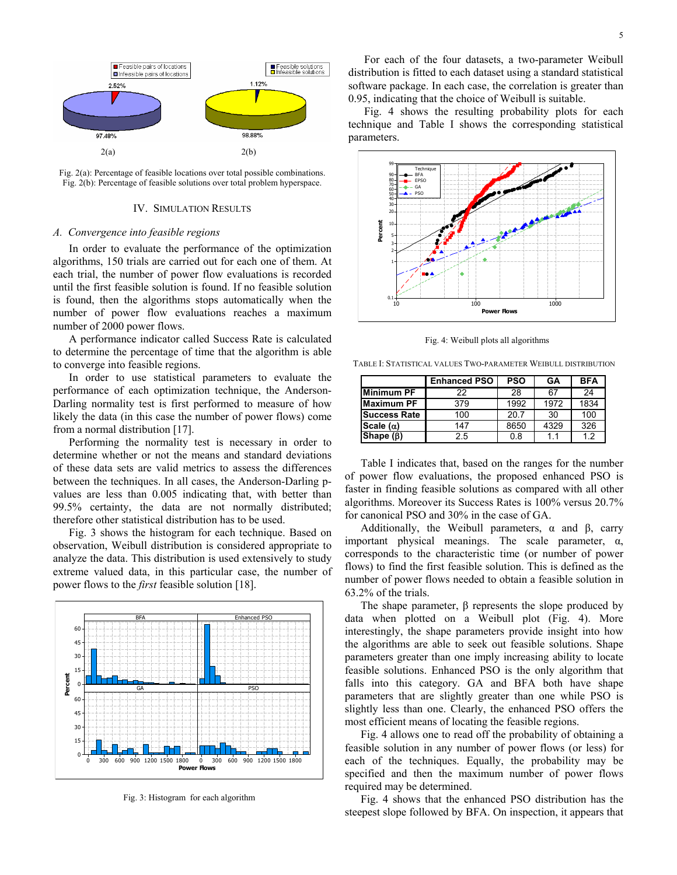

Fig. 2(a): Percentage of feasible locations over total possible combinations. Fig. 2(b): Percentage of feasible solutions over total problem hyperspace.

#### IV. SIMULATION RESULTS

#### *A. Convergence into feasible regions*

In order to evaluate the performance of the optimization algorithms, 150 trials are carried out for each one of them. At each trial, the number of power flow evaluations is recorded until the first feasible solution is found. If no feasible solution is found, then the algorithms stops automatically when the number of power flow evaluations reaches a maximum number of 2000 power flows.

A performance indicator called Success Rate is calculated to determine the percentage of time that the algorithm is able to converge into feasible regions.

In order to use statistical parameters to evaluate the performance of each optimization technique, the Anderson-Darling normality test is first performed to measure of how likely the data (in this case the number of power flows) come from a normal distribution [17].

Performing the normality test is necessary in order to determine whether or not the means and standard deviations of these data sets are valid metrics to assess the differences between the techniques. In all cases, the Anderson-Darling pvalues are less than 0.005 indicating that, with better than 99.5% certainty, the data are not normally distributed; therefore other statistical distribution has to be used.

Fig. 3 shows the histogram for each technique. Based on observation, Weibull distribution is considered appropriate to analyze the data. This distribution is used extensively to study extreme valued data, in this particular case, the number of power flows to the *first* feasible solution [18].



Fig. 3: Histogram for each algorithm

For each of the four datasets, a two-parameter Weibull distribution is fitted to each dataset using a standard statistical software package. In each case, the correlation is greater than 0.95, indicating that the choice of Weibull is suitable.

Fig. 4 shows the resulting probability plots for each technique and Table I shows the corresponding statistical parameters.



Fig. 4: Weibull plots all algorithms

TABLE I: STATISTICAL VALUES TWO-PARAMETER WEIBULL DISTRIBUTION

|                     | <b>Enhanced PSO</b> | <b>PSO</b> | GΑ   | <b>BFA</b> |
|---------------------|---------------------|------------|------|------------|
| Minimum PF          | 22                  | 28         | 67   | 24         |
| <b>Maximum PF</b>   | 379                 | 1992       | 1972 | 1834       |
| <b>Success Rate</b> | 100                 | 20.7       | 30   | 100        |
| Scale $(\alpha)$    | 147                 | 8650       | 4329 | 326        |
| Shape (B)           | 2.5                 | 0.8        |      | 12         |

Table I indicates that, based on the ranges for the number of power flow evaluations, the proposed enhanced PSO is faster in finding feasible solutions as compared with all other algorithms. Moreover its Success Rates is 100% versus 20.7% for canonical PSO and 30% in the case of GA.

Additionally, the Weibull parameters,  $\alpha$  and  $\beta$ , carry important physical meanings. The scale parameter, α, corresponds to the characteristic time (or number of power flows) to find the first feasible solution. This is defined as the number of power flows needed to obtain a feasible solution in 63.2% of the trials.

The shape parameter,  $\beta$  represents the slope produced by data when plotted on a Weibull plot (Fig. 4). More interestingly, the shape parameters provide insight into how the algorithms are able to seek out feasible solutions. Shape parameters greater than one imply increasing ability to locate feasible solutions. Enhanced PSO is the only algorithm that falls into this category. GA and BFA both have shape parameters that are slightly greater than one while PSO is slightly less than one. Clearly, the enhanced PSO offers the most efficient means of locating the feasible regions.

Fig. 4 allows one to read off the probability of obtaining a feasible solution in any number of power flows (or less) for each of the techniques. Equally, the probability may be specified and then the maximum number of power flows required may be determined.

Fig. 4 shows that the enhanced PSO distribution has the steepest slope followed by BFA. On inspection, it appears that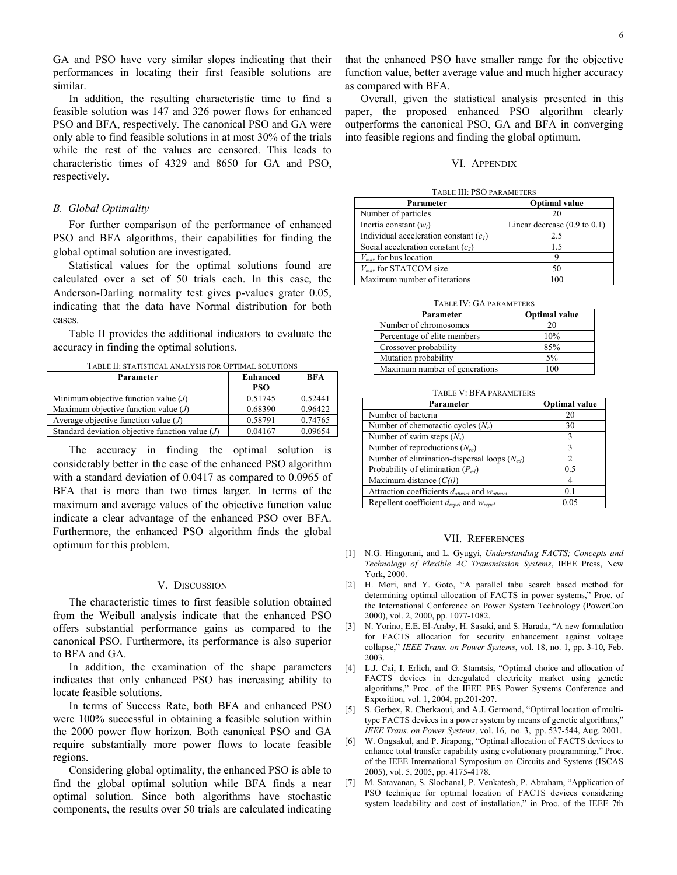GA and PSO have very similar slopes indicating that their performances in locating their first feasible solutions are similar.

In addition, the resulting characteristic time to find a feasible solution was 147 and 326 power flows for enhanced PSO and BFA, respectively. The canonical PSO and GA were only able to find feasible solutions in at most 30% of the trials while the rest of the values are censored. This leads to characteristic times of 4329 and 8650 for GA and PSO, respectively.

#### *B. Global Optimality*

For further comparison of the performance of enhanced PSO and BFA algorithms, their capabilities for finding the global optimal solution are investigated.

Statistical values for the optimal solutions found are calculated over a set of 50 trials each. In this case, the Anderson-Darling normality test gives p-values grater 0.05, indicating that the data have Normal distribution for both cases.

Table II provides the additional indicators to evaluate the accuracy in finding the optimal solutions.

TABLE II: STATISTICAL ANALYSIS FOR OPTIMAL SOLUTIONS

| Parameter                                         | <b>Enhanced</b><br>PSO | <b>BFA</b> |
|---------------------------------------------------|------------------------|------------|
| Minimum objective function value $(J)$            | 0.51745                | 0.52441    |
| Maximum objective function value $(J)$            | 0.68390                | 0.96422    |
| Average objective function value $(J)$            | 0.58791                | 0.74765    |
| Standard deviation objective function value $(J)$ | 0.04167                | 0.09654    |

The accuracy in finding the optimal solution is considerably better in the case of the enhanced PSO algorithm with a standard deviation of 0.0417 as compared to 0.0965 of BFA that is more than two times larger. In terms of the maximum and average values of the objective function value indicate a clear advantage of the enhanced PSO over BFA. Furthermore, the enhanced PSO algorithm finds the global optimum for this problem.

#### V. DISCUSSION

The characteristic times to first feasible solution obtained from the Weibull analysis indicate that the enhanced PSO offers substantial performance gains as compared to the canonical PSO. Furthermore, its performance is also superior to BFA and GA.

In addition, the examination of the shape parameters indicates that only enhanced PSO has increasing ability to locate feasible solutions.

In terms of Success Rate, both BFA and enhanced PSO were 100% successful in obtaining a feasible solution within the 2000 power flow horizon. Both canonical PSO and GA require substantially more power flows to locate feasible regions.

Considering global optimality, the enhanced PSO is able to find the global optimal solution while BFA finds a near optimal solution. Since both algorithms have stochastic components, the results over 50 trials are calculated indicating that the enhanced PSO have smaller range for the objective function value, better average value and much higher accuracy as compared with BFA.

Overall, given the statistical analysis presented in this paper, the proposed enhanced PSO algorithm clearly outperforms the canonical PSO, GA and BFA in converging into feasible regions and finding the global optimum.

#### VI. APPENDIX

TABLE III: PSO PARAMETERS

| Parameter                               | <b>Optimal value</b>                    |  |  |
|-----------------------------------------|-----------------------------------------|--|--|
| Number of particles                     | 20                                      |  |  |
| Inertia constant $(w_i)$                | Linear decrease $(0.9 \text{ to } 0.1)$ |  |  |
| Individual acceleration constant $(cl)$ | 2.5                                     |  |  |
| Social acceleration constant $(c_2)$    | 15                                      |  |  |
| $V_{max}$ for bus location              | a                                       |  |  |
| $V_{max}$ for STATCOM size              | 50                                      |  |  |
| Maximum number of iterations            |                                         |  |  |

TABLE IV: GA PARAMETERS

| Parameter                     | <b>Optimal value</b> |
|-------------------------------|----------------------|
| Number of chromosomes         | 20                   |
| Percentage of elite members   | 10%                  |
| Crossover probability         | 85%                  |
| Mutation probability          | 5%                   |
| Maximum number of generations | $\Omega$             |

TABLE V: BFA PARAMETERS

| Parameter                                               | <b>Optimal value</b> |
|---------------------------------------------------------|----------------------|
| Number of bacteria                                      | 20                   |
| Number of chemotactic cycles $(N_c)$                    | 30                   |
| Number of swim steps $(N_s)$                            | ٩                    |
| Number of reproductions $(N_{re})$                      |                      |
| Number of elimination-dispersal loops $(N_{ed})$        | 2                    |
| Probability of elimination $(P_{ed})$                   | 0.5                  |
| Maximum distance $(C(i))$                               |                      |
| Attraction coefficients $d_{attract}$ and $w_{attract}$ | 0.1                  |
| Repellent coefficient $d_{revel}$ and $w_{revel}$       | 0.05                 |

#### VII. REFERENCES

- [1] N.G. Hingorani, and L. Gyugyi, *Understanding FACTS; Concepts and Technology of Flexible AC Transmission Systems*, IEEE Press, New York, 2000.
- [2] H. Mori, and Y. Goto, "A parallel tabu search based method for determining optimal allocation of FACTS in power systems," Proc. of the International Conference on Power System Technology (PowerCon 2000), vol. 2, 2000, pp. 1077-1082.
- [3] N. Yorino, E.E. El-Araby, H. Sasaki, and S. Harada, "A new formulation for FACTS allocation for security enhancement against voltage collapse," *IEEE Trans. on Power Systems*, vol. 18, no. 1, pp. 3-10, Feb. 2003.
- [4] L.J. Cai, I. Erlich, and G. Stamtsis, "Optimal choice and allocation of FACTS devices in deregulated electricity market using genetic algorithms," Proc. of the IEEE PES Power Systems Conference and Exposition, vol. 1, 2004, pp.201-207.
- [5] S. Gerbex, R. Cherkaoui, and A.J. Germond, "Optimal location of multitype FACTS devices in a power system by means of genetic algorithms," *IEEE Trans. on Power Systems,* vol. 16, no. 3, pp. 537-544, Aug. 2001.
- [6] W. Ongsakul, and P. Jirapong, "Optimal allocation of FACTS devices to enhance total transfer capability using evolutionary programming," Proc. of the IEEE International Symposium on Circuits and Systems (ISCAS 2005), vol. 5, 2005, pp. 4175-4178.
- [7] M. Saravanan, S. Slochanal, P. Venkatesh, P. Abraham, "Application of PSO technique for optimal location of FACTS devices considering system loadability and cost of installation," in Proc. of the IEEE 7th